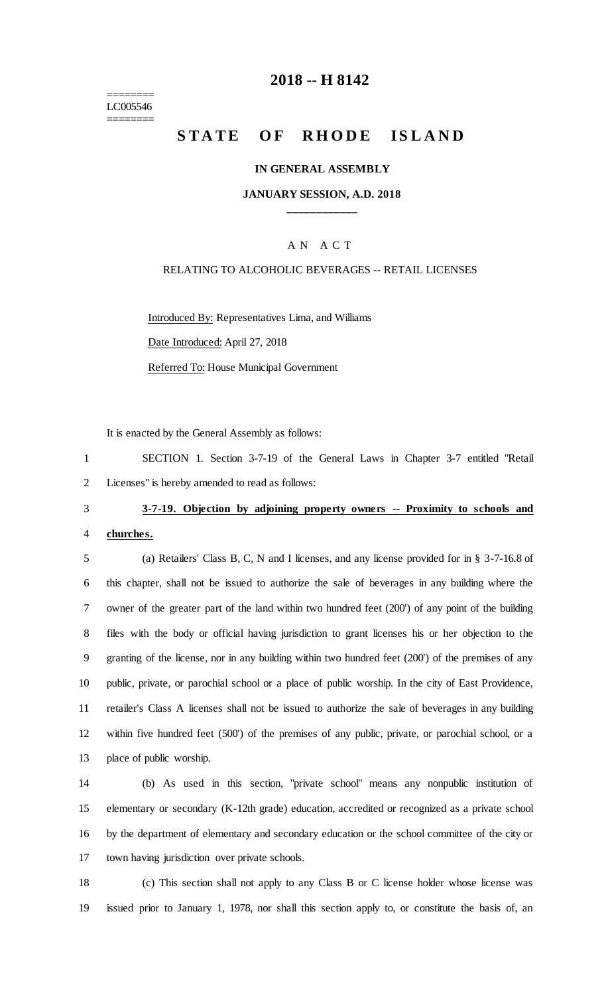======== LC005546 ========

# **-- H 8142**

# STATE OF RHODE ISLAND

#### **IN GENERAL ASSEMBLY**

#### **JANUARY SESSION, A.D. 2018 \_\_\_\_\_\_\_\_\_\_\_\_**

#### A N A C T

#### RELATING TO ALCOHOLIC BEVERAGES -- RETAIL LICENSES

Introduced By: Representatives Lima, and Williams

Date Introduced: April 27, 2018

Referred To: House Municipal Government

It is enacted by the General Assembly as follows:

 SECTION 1. Section 3-7-19 of the General Laws in Chapter 3-7 entitled "Retail Licenses" is hereby amended to read as follows:

# **3-7-19. Objection by adjoining property owners -- Proximity to schools and**

#### **churches.**

 (a) Retailers' Class B, C, N and I licenses, and any license provided for in § 3-7-16.8 of this chapter, shall not be issued to authorize the sale of beverages in any building where the owner of the greater part of the land within two hundred feet (200') of any point of the building files with the body or official having jurisdiction to grant licenses his or her objection to the granting of the license, nor in any building within two hundred feet (200') of the premises of any public, private, or parochial school or a place of public worship. In the city of East Providence, retailer's Class A licenses shall not be issued to authorize the sale of beverages in any building within five hundred feet (500') of the premises of any public, private, or parochial school, or a place of public worship.

 (b) As used in this section, "private school" means any nonpublic institution of elementary or secondary (K-12th grade) education, accredited or recognized as a private school by the department of elementary and secondary education or the school committee of the city or town having jurisdiction over private schools.

 (c) This section shall not apply to any Class B or C license holder whose license was issued prior to January 1, 1978, nor shall this section apply to, or constitute the basis of, an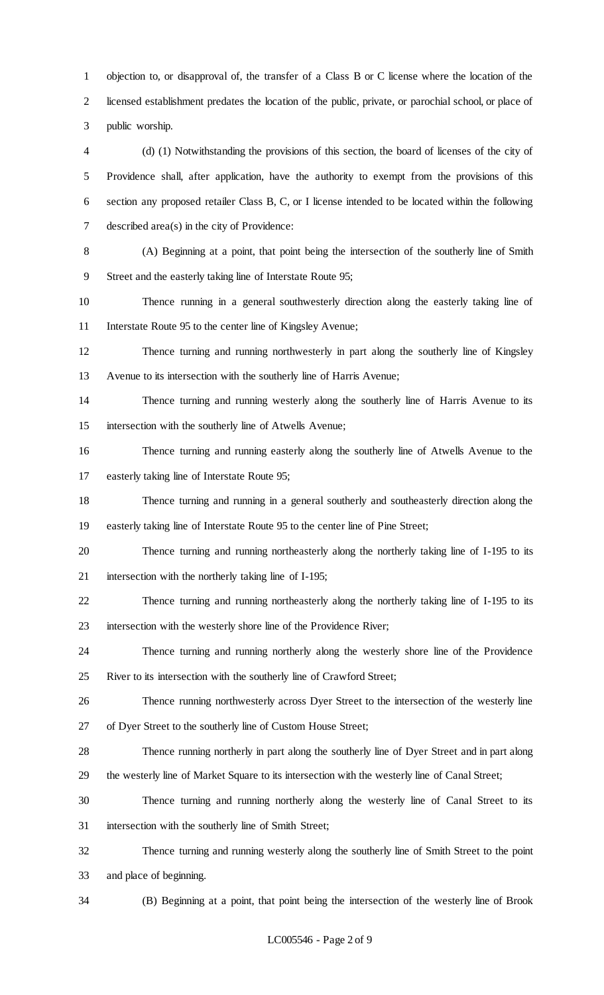objection to, or disapproval of, the transfer of a Class B or C license where the location of the licensed establishment predates the location of the public, private, or parochial school, or place of public worship.

 (d) (1) Notwithstanding the provisions of this section, the board of licenses of the city of Providence shall, after application, have the authority to exempt from the provisions of this section any proposed retailer Class B, C, or I license intended to be located within the following described area(s) in the city of Providence:

 (A) Beginning at a point, that point being the intersection of the southerly line of Smith Street and the easterly taking line of Interstate Route 95;

 Thence running in a general southwesterly direction along the easterly taking line of Interstate Route 95 to the center line of Kingsley Avenue;

 Thence turning and running northwesterly in part along the southerly line of Kingsley Avenue to its intersection with the southerly line of Harris Avenue;

 Thence turning and running westerly along the southerly line of Harris Avenue to its intersection with the southerly line of Atwells Avenue;

 Thence turning and running easterly along the southerly line of Atwells Avenue to the easterly taking line of Interstate Route 95;

 Thence turning and running in a general southerly and southeasterly direction along the easterly taking line of Interstate Route 95 to the center line of Pine Street;

 Thence turning and running northeasterly along the northerly taking line of I-195 to its intersection with the northerly taking line of I-195;

 Thence turning and running northeasterly along the northerly taking line of I-195 to its intersection with the westerly shore line of the Providence River;

 Thence turning and running northerly along the westerly shore line of the Providence River to its intersection with the southerly line of Crawford Street;

 Thence running northwesterly across Dyer Street to the intersection of the westerly line of Dyer Street to the southerly line of Custom House Street;

 Thence running northerly in part along the southerly line of Dyer Street and in part along the westerly line of Market Square to its intersection with the westerly line of Canal Street;

 Thence turning and running northerly along the westerly line of Canal Street to its intersection with the southerly line of Smith Street;

 Thence turning and running westerly along the southerly line of Smith Street to the point and place of beginning.

(B) Beginning at a point, that point being the intersection of the westerly line of Brook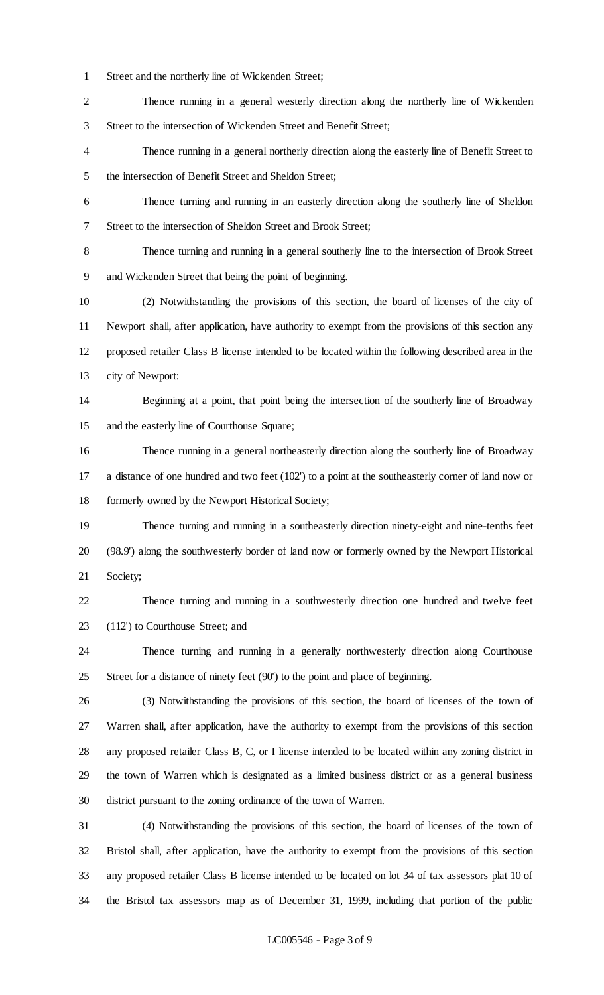Street and the northerly line of Wickenden Street;

 Thence running in a general westerly direction along the northerly line of Wickenden Street to the intersection of Wickenden Street and Benefit Street;

 Thence running in a general northerly direction along the easterly line of Benefit Street to the intersection of Benefit Street and Sheldon Street;

 Thence turning and running in an easterly direction along the southerly line of Sheldon Street to the intersection of Sheldon Street and Brook Street;

 Thence turning and running in a general southerly line to the intersection of Brook Street and Wickenden Street that being the point of beginning.

 (2) Notwithstanding the provisions of this section, the board of licenses of the city of Newport shall, after application, have authority to exempt from the provisions of this section any proposed retailer Class B license intended to be located within the following described area in the city of Newport:

 Beginning at a point, that point being the intersection of the southerly line of Broadway and the easterly line of Courthouse Square;

 Thence running in a general northeasterly direction along the southerly line of Broadway a distance of one hundred and two feet (102') to a point at the southeasterly corner of land now or formerly owned by the Newport Historical Society;

 Thence turning and running in a southeasterly direction ninety-eight and nine-tenths feet (98.9') along the southwesterly border of land now or formerly owned by the Newport Historical Society;

 Thence turning and running in a southwesterly direction one hundred and twelve feet (112') to Courthouse Street; and

 Thence turning and running in a generally northwesterly direction along Courthouse Street for a distance of ninety feet (90') to the point and place of beginning.

 (3) Notwithstanding the provisions of this section, the board of licenses of the town of Warren shall, after application, have the authority to exempt from the provisions of this section any proposed retailer Class B, C, or I license intended to be located within any zoning district in the town of Warren which is designated as a limited business district or as a general business district pursuant to the zoning ordinance of the town of Warren.

 (4) Notwithstanding the provisions of this section, the board of licenses of the town of Bristol shall, after application, have the authority to exempt from the provisions of this section any proposed retailer Class B license intended to be located on lot 34 of tax assessors plat 10 of the Bristol tax assessors map as of December 31, 1999, including that portion of the public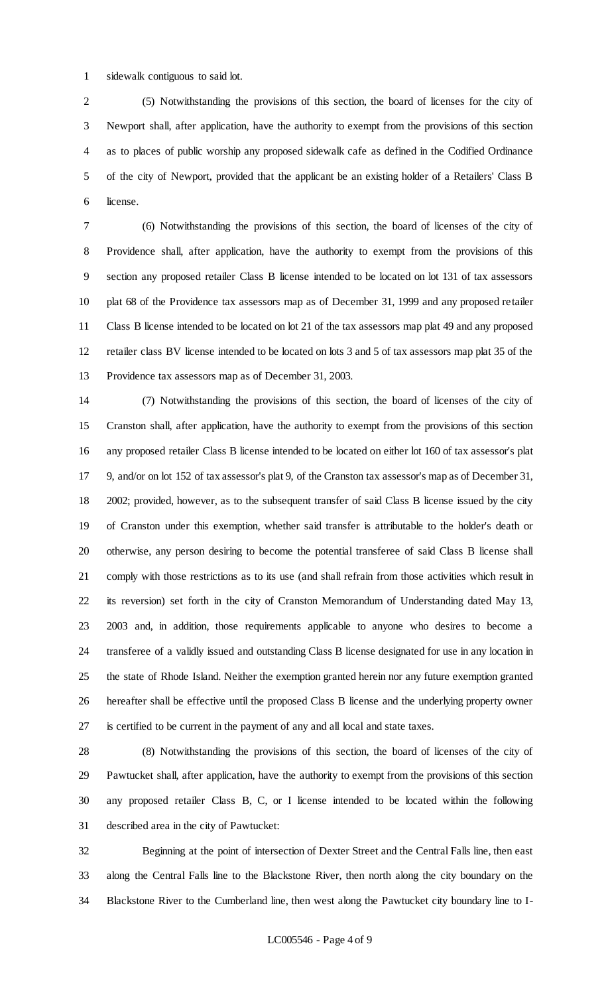sidewalk contiguous to said lot.

 (5) Notwithstanding the provisions of this section, the board of licenses for the city of Newport shall, after application, have the authority to exempt from the provisions of this section as to places of public worship any proposed sidewalk cafe as defined in the Codified Ordinance of the city of Newport, provided that the applicant be an existing holder of a Retailers' Class B license.

 (6) Notwithstanding the provisions of this section, the board of licenses of the city of Providence shall, after application, have the authority to exempt from the provisions of this section any proposed retailer Class B license intended to be located on lot 131 of tax assessors plat 68 of the Providence tax assessors map as of December 31, 1999 and any proposed retailer Class B license intended to be located on lot 21 of the tax assessors map plat 49 and any proposed retailer class BV license intended to be located on lots 3 and 5 of tax assessors map plat 35 of the Providence tax assessors map as of December 31, 2003.

 (7) Notwithstanding the provisions of this section, the board of licenses of the city of Cranston shall, after application, have the authority to exempt from the provisions of this section any proposed retailer Class B license intended to be located on either lot 160 of tax assessor's plat 9, and/or on lot 152 of tax assessor's plat 9, of the Cranston tax assessor's map as of December 31, 2002; provided, however, as to the subsequent transfer of said Class B license issued by the city of Cranston under this exemption, whether said transfer is attributable to the holder's death or otherwise, any person desiring to become the potential transferee of said Class B license shall comply with those restrictions as to its use (and shall refrain from those activities which result in its reversion) set forth in the city of Cranston Memorandum of Understanding dated May 13, 2003 and, in addition, those requirements applicable to anyone who desires to become a transferee of a validly issued and outstanding Class B license designated for use in any location in the state of Rhode Island. Neither the exemption granted herein nor any future exemption granted hereafter shall be effective until the proposed Class B license and the underlying property owner is certified to be current in the payment of any and all local and state taxes.

 (8) Notwithstanding the provisions of this section, the board of licenses of the city of Pawtucket shall, after application, have the authority to exempt from the provisions of this section any proposed retailer Class B, C, or I license intended to be located within the following described area in the city of Pawtucket:

 Beginning at the point of intersection of Dexter Street and the Central Falls line, then east along the Central Falls line to the Blackstone River, then north along the city boundary on the Blackstone River to the Cumberland line, then west along the Pawtucket city boundary line to I-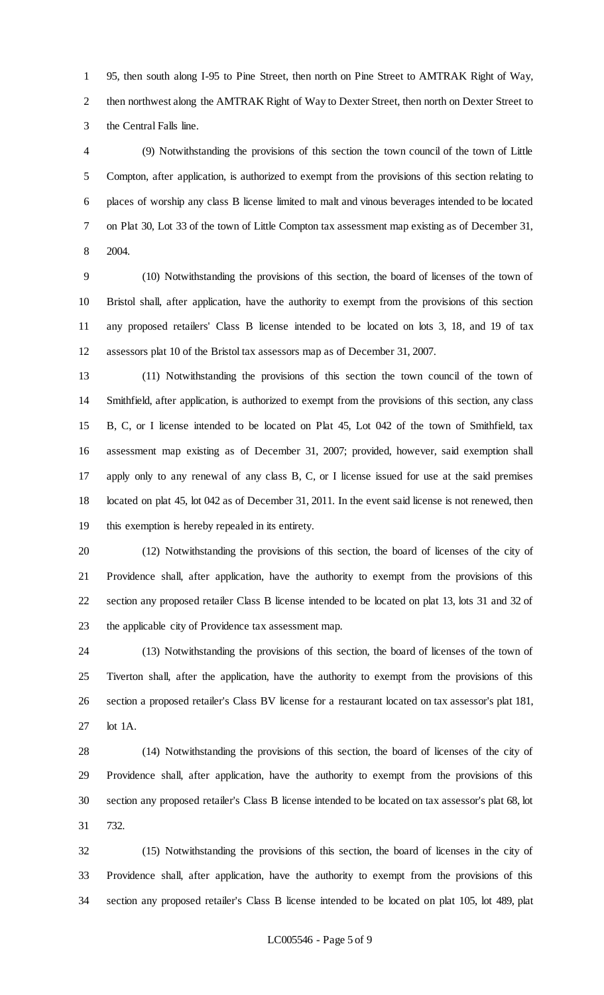95, then south along I-95 to Pine Street, then north on Pine Street to AMTRAK Right of Way, then northwest along the AMTRAK Right of Way to Dexter Street, then north on Dexter Street to the Central Falls line.

 (9) Notwithstanding the provisions of this section the town council of the town of Little Compton, after application, is authorized to exempt from the provisions of this section relating to places of worship any class B license limited to malt and vinous beverages intended to be located on Plat 30, Lot 33 of the town of Little Compton tax assessment map existing as of December 31, 2004.

 (10) Notwithstanding the provisions of this section, the board of licenses of the town of Bristol shall, after application, have the authority to exempt from the provisions of this section any proposed retailers' Class B license intended to be located on lots 3, 18, and 19 of tax assessors plat 10 of the Bristol tax assessors map as of December 31, 2007.

 (11) Notwithstanding the provisions of this section the town council of the town of Smithfield, after application, is authorized to exempt from the provisions of this section, any class B, C, or I license intended to be located on Plat 45, Lot 042 of the town of Smithfield, tax assessment map existing as of December 31, 2007; provided, however, said exemption shall apply only to any renewal of any class B, C, or I license issued for use at the said premises located on plat 45, lot 042 as of December 31, 2011. In the event said license is not renewed, then this exemption is hereby repealed in its entirety.

 (12) Notwithstanding the provisions of this section, the board of licenses of the city of Providence shall, after application, have the authority to exempt from the provisions of this section any proposed retailer Class B license intended to be located on plat 13, lots 31 and 32 of the applicable city of Providence tax assessment map.

 (13) Notwithstanding the provisions of this section, the board of licenses of the town of Tiverton shall, after the application, have the authority to exempt from the provisions of this section a proposed retailer's Class BV license for a restaurant located on tax assessor's plat 181, lot 1A.

 (14) Notwithstanding the provisions of this section, the board of licenses of the city of Providence shall, after application, have the authority to exempt from the provisions of this section any proposed retailer's Class B license intended to be located on tax assessor's plat 68, lot 732.

 (15) Notwithstanding the provisions of this section, the board of licenses in the city of Providence shall, after application, have the authority to exempt from the provisions of this section any proposed retailer's Class B license intended to be located on plat 105, lot 489, plat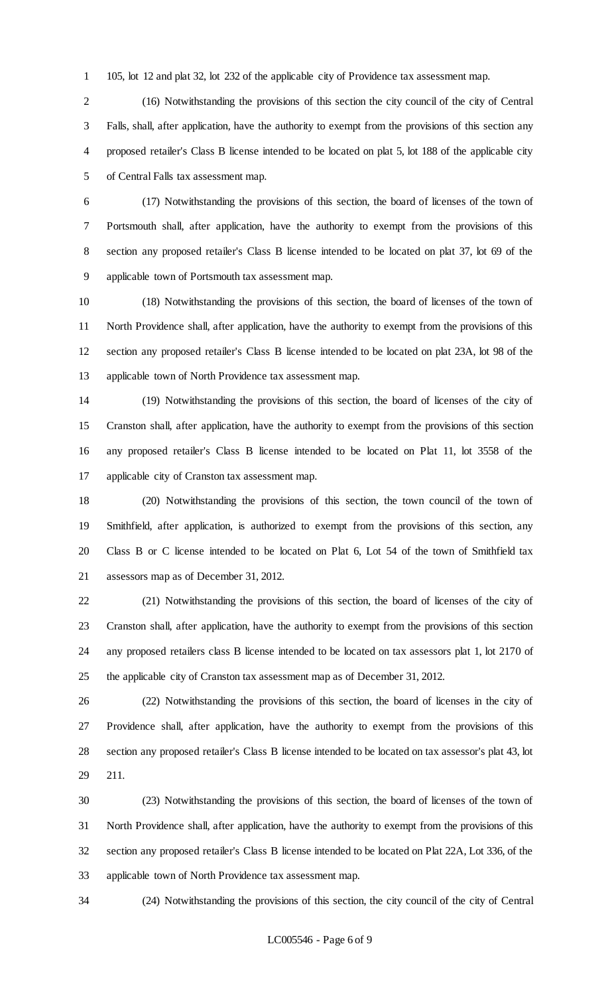105, lot 12 and plat 32, lot 232 of the applicable city of Providence tax assessment map.

 (16) Notwithstanding the provisions of this section the city council of the city of Central Falls, shall, after application, have the authority to exempt from the provisions of this section any proposed retailer's Class B license intended to be located on plat 5, lot 188 of the applicable city of Central Falls tax assessment map.

 (17) Notwithstanding the provisions of this section, the board of licenses of the town of Portsmouth shall, after application, have the authority to exempt from the provisions of this section any proposed retailer's Class B license intended to be located on plat 37, lot 69 of the applicable town of Portsmouth tax assessment map.

 (18) Notwithstanding the provisions of this section, the board of licenses of the town of North Providence shall, after application, have the authority to exempt from the provisions of this section any proposed retailer's Class B license intended to be located on plat 23A, lot 98 of the applicable town of North Providence tax assessment map.

 (19) Notwithstanding the provisions of this section, the board of licenses of the city of Cranston shall, after application, have the authority to exempt from the provisions of this section any proposed retailer's Class B license intended to be located on Plat 11, lot 3558 of the applicable city of Cranston tax assessment map.

 (20) Notwithstanding the provisions of this section, the town council of the town of Smithfield, after application, is authorized to exempt from the provisions of this section, any Class B or C license intended to be located on Plat 6, Lot 54 of the town of Smithfield tax assessors map as of December 31, 2012.

 (21) Notwithstanding the provisions of this section, the board of licenses of the city of Cranston shall, after application, have the authority to exempt from the provisions of this section any proposed retailers class B license intended to be located on tax assessors plat 1, lot 2170 of the applicable city of Cranston tax assessment map as of December 31, 2012.

 (22) Notwithstanding the provisions of this section, the board of licenses in the city of Providence shall, after application, have the authority to exempt from the provisions of this section any proposed retailer's Class B license intended to be located on tax assessor's plat 43, lot 211.

 (23) Notwithstanding the provisions of this section, the board of licenses of the town of North Providence shall, after application, have the authority to exempt from the provisions of this section any proposed retailer's Class B license intended to be located on Plat 22A, Lot 336, of the applicable town of North Providence tax assessment map.

(24) Notwithstanding the provisions of this section, the city council of the city of Central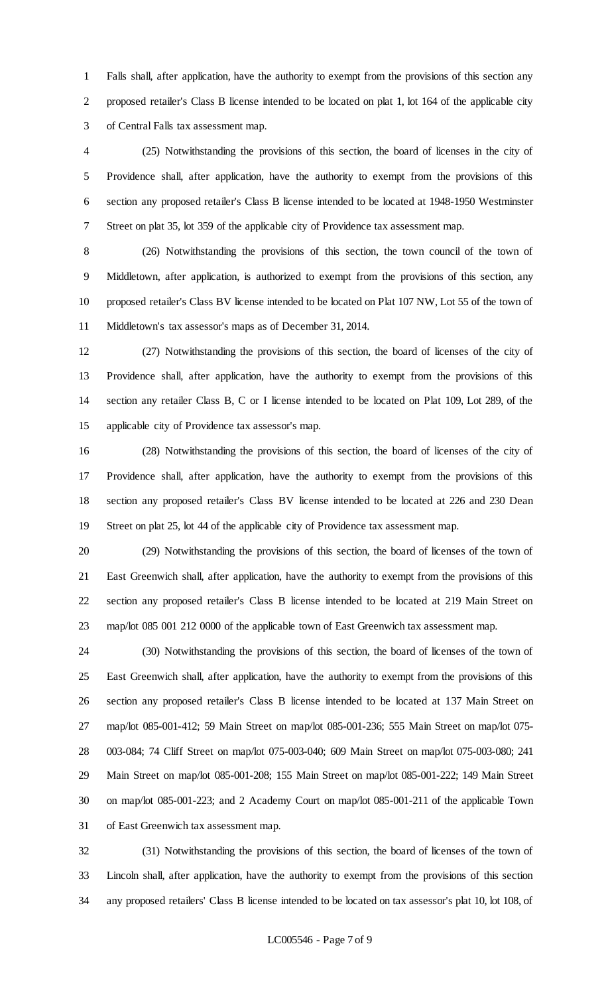Falls shall, after application, have the authority to exempt from the provisions of this section any proposed retailer's Class B license intended to be located on plat 1, lot 164 of the applicable city of Central Falls tax assessment map.

 (25) Notwithstanding the provisions of this section, the board of licenses in the city of Providence shall, after application, have the authority to exempt from the provisions of this section any proposed retailer's Class B license intended to be located at 1948-1950 Westminster Street on plat 35, lot 359 of the applicable city of Providence tax assessment map.

 (26) Notwithstanding the provisions of this section, the town council of the town of Middletown, after application, is authorized to exempt from the provisions of this section, any proposed retailer's Class BV license intended to be located on Plat 107 NW, Lot 55 of the town of Middletown's tax assessor's maps as of December 31, 2014.

 (27) Notwithstanding the provisions of this section, the board of licenses of the city of Providence shall, after application, have the authority to exempt from the provisions of this section any retailer Class B, C or I license intended to be located on Plat 109, Lot 289, of the applicable city of Providence tax assessor's map.

 (28) Notwithstanding the provisions of this section, the board of licenses of the city of Providence shall, after application, have the authority to exempt from the provisions of this section any proposed retailer's Class BV license intended to be located at 226 and 230 Dean Street on plat 25, lot 44 of the applicable city of Providence tax assessment map.

 (29) Notwithstanding the provisions of this section, the board of licenses of the town of East Greenwich shall, after application, have the authority to exempt from the provisions of this section any proposed retailer's Class B license intended to be located at 219 Main Street on map/lot 085 001 212 0000 of the applicable town of East Greenwich tax assessment map.

 (30) Notwithstanding the provisions of this section, the board of licenses of the town of East Greenwich shall, after application, have the authority to exempt from the provisions of this section any proposed retailer's Class B license intended to be located at 137 Main Street on map/lot 085-001-412; 59 Main Street on map/lot 085-001-236; 555 Main Street on map/lot 075- 003-084; 74 Cliff Street on map/lot 075-003-040; 609 Main Street on map/lot 075-003-080; 241 Main Street on map/lot 085-001-208; 155 Main Street on map/lot 085-001-222; 149 Main Street on map/lot 085-001-223; and 2 Academy Court on map/lot 085-001-211 of the applicable Town of East Greenwich tax assessment map.

 (31) Notwithstanding the provisions of this section, the board of licenses of the town of Lincoln shall, after application, have the authority to exempt from the provisions of this section any proposed retailers' Class B license intended to be located on tax assessor's plat 10, lot 108, of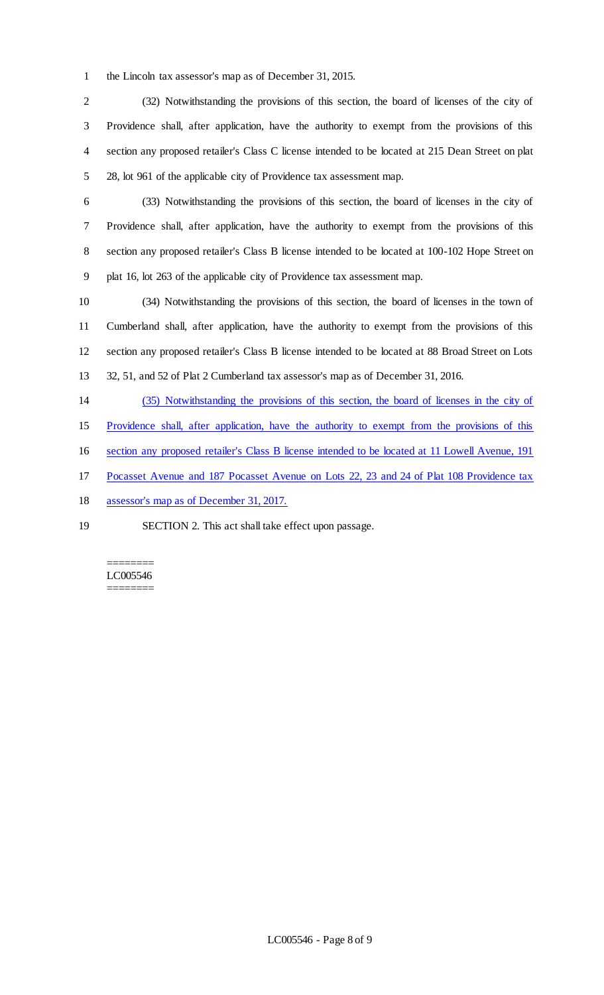the Lincoln tax assessor's map as of December 31, 2015.

 (32) Notwithstanding the provisions of this section, the board of licenses of the city of Providence shall, after application, have the authority to exempt from the provisions of this section any proposed retailer's Class C license intended to be located at 215 Dean Street on plat 28, lot 961 of the applicable city of Providence tax assessment map.

 (33) Notwithstanding the provisions of this section, the board of licenses in the city of Providence shall, after application, have the authority to exempt from the provisions of this section any proposed retailer's Class B license intended to be located at 100-102 Hope Street on plat 16, lot 263 of the applicable city of Providence tax assessment map.

 (34) Notwithstanding the provisions of this section, the board of licenses in the town of Cumberland shall, after application, have the authority to exempt from the provisions of this section any proposed retailer's Class B license intended to be located at 88 Broad Street on Lots 32, 51, and 52 of Plat 2 Cumberland tax assessor's map as of December 31, 2016.

- (35) Notwithstanding the provisions of this section, the board of licenses in the city of
- Providence shall, after application, have the authority to exempt from the provisions of this
- section any proposed retailer's Class B license intended to be located at 11 Lowell Avenue, 191
- Pocasset Avenue and 187 Pocasset Avenue on Lots 22, 23 and 24 of Plat 108 Providence tax
- assessor's map as of December 31, 2017.
- SECTION 2. This act shall take effect upon passage.

======== LC005546 ========